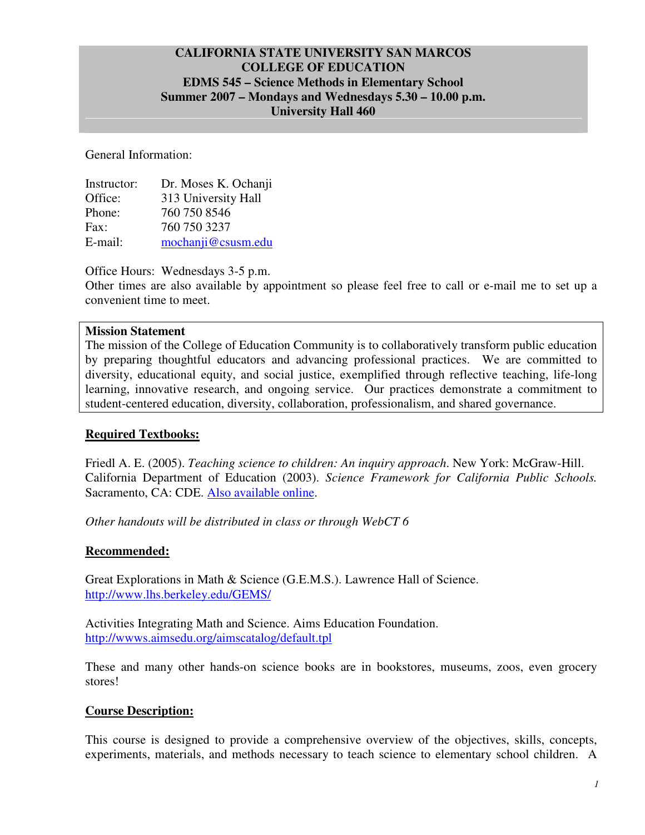## **CALIFORNIA STATE UNIVERSITY SAN MARCOS COLLEGE OF EDUCATION EDMS 545 – Science Methods in Elementary School Summer 2007 – Mondays and Wednesdays 5.30 – 10.00 p.m. University Hall 460**

General Information:

| Instructor: | Dr. Moses K. Ochanji |
|-------------|----------------------|
| Office:     | 313 University Hall  |
| Phone:      | 760 750 8546         |
| Fax:        | 760 750 3237         |
| E-mail:     | mochanji@csusm.edu   |

Office Hours: Wednesdays 3-5 p.m.

Other times are also available by appointment so please feel free to call or e-mail me to set up a convenient time to meet.

#### **Mission Statement**

The mission of the College of Education Community is to collaboratively transform public education by preparing thoughtful educators and advancing professional practices. We are committed to diversity, educational equity, and social justice, exemplified through reflective teaching, life-long learning, innovative research, and ongoing service. Our practices demonstrate a commitment to student-centered education, diversity, collaboration, professionalism, and shared governance.

#### **Required Textbooks:**

Friedl A. E. (2005). *Teaching science to children: An inquiry approach*. New York: McGraw-Hill. California Department of Education (2003). *Science Framework for California Public Schools.* Sacramento, CA: CDE. Also available online.

*Other handouts will be distributed in class or through WebCT 6* 

#### **Recommended:**

Great Explorations in Math & Science (G.E.M.S.). Lawrence Hall of Science. http://www.lhs.berkeley.edu/GEMS/

Activities Integrating Math and Science. Aims Education Foundation. http://wwws.aimsedu.org/aimscatalog/default.tpl

These and many other hands-on science books are in bookstores, museums, zoos, even grocery stores!

#### **Course Description:**

This course is designed to provide a comprehensive overview of the objectives, skills, concepts, experiments, materials, and methods necessary to teach science to elementary school children. A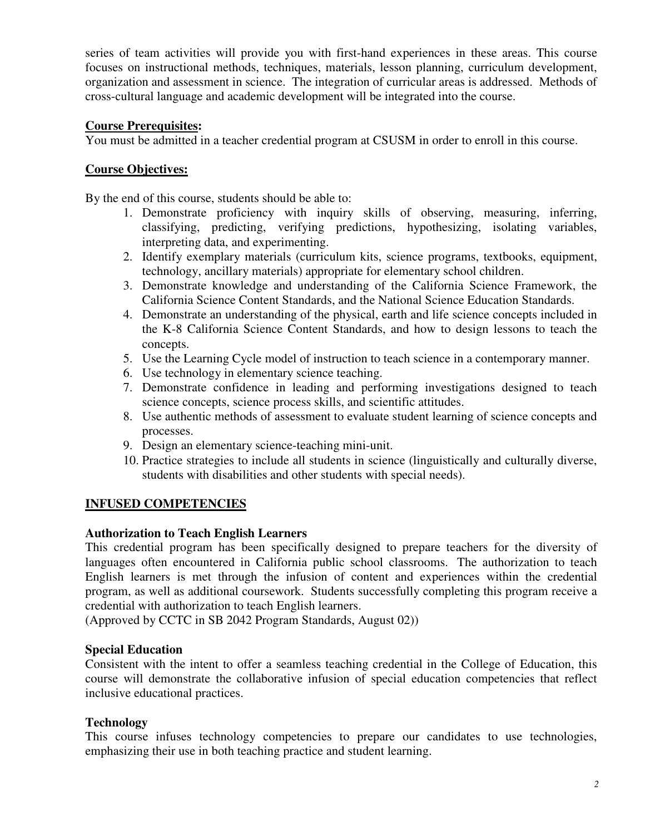series of team activities will provide you with first-hand experiences in these areas. This course focuses on instructional methods, techniques, materials, lesson planning, curriculum development, organization and assessment in science. The integration of curricular areas is addressed. Methods of cross-cultural language and academic development will be integrated into the course.

### **Course Prerequisites:**

You must be admitted in a teacher credential program at CSUSM in order to enroll in this course.

### **Course Objectives:**

By the end of this course, students should be able to:

- 1. Demonstrate proficiency with inquiry skills of observing, measuring, inferring, classifying, predicting, verifying predictions, hypothesizing, isolating variables, interpreting data, and experimenting.
- 2. Identify exemplary materials (curriculum kits, science programs, textbooks, equipment, technology, ancillary materials) appropriate for elementary school children.
- 3. Demonstrate knowledge and understanding of the California Science Framework, the California Science Content Standards, and the National Science Education Standards.
- 4. Demonstrate an understanding of the physical, earth and life science concepts included in the K-8 California Science Content Standards, and how to design lessons to teach the concepts.
- 5. Use the Learning Cycle model of instruction to teach science in a contemporary manner.
- 6. Use technology in elementary science teaching.
- 7. Demonstrate confidence in leading and performing investigations designed to teach science concepts, science process skills, and scientific attitudes.
- 8. Use authentic methods of assessment to evaluate student learning of science concepts and processes.
- 9. Design an elementary science-teaching mini-unit.
- 10. Practice strategies to include all students in science (linguistically and culturally diverse, students with disabilities and other students with special needs).

## **INFUSED COMPETENCIES**

#### **Authorization to Teach English Learners**

This credential program has been specifically designed to prepare teachers for the diversity of languages often encountered in California public school classrooms. The authorization to teach English learners is met through the infusion of content and experiences within the credential program, as well as additional coursework. Students successfully completing this program receive a credential with authorization to teach English learners.

(Approved by CCTC in SB 2042 Program Standards, August 02))

#### **Special Education**

Consistent with the intent to offer a seamless teaching credential in the College of Education, this course will demonstrate the collaborative infusion of special education competencies that reflect inclusive educational practices.

#### **Technology**

This course infuses technology competencies to prepare our candidates to use technologies, emphasizing their use in both teaching practice and student learning.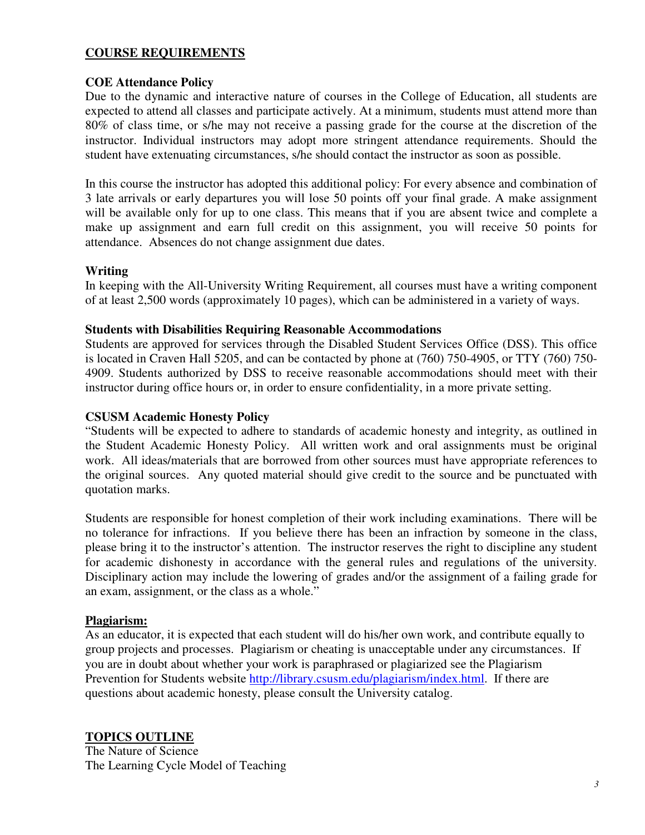## **COURSE REQUIREMENTS**

### **COE Attendance Policy**

Due to the dynamic and interactive nature of courses in the College of Education, all students are expected to attend all classes and participate actively. At a minimum, students must attend more than 80% of class time, or s/he may not receive a passing grade for the course at the discretion of the instructor. Individual instructors may adopt more stringent attendance requirements. Should the student have extenuating circumstances, s/he should contact the instructor as soon as possible.

In this course the instructor has adopted this additional policy: For every absence and combination of 3 late arrivals or early departures you will lose 50 points off your final grade. A make assignment will be available only for up to one class. This means that if you are absent twice and complete a make up assignment and earn full credit on this assignment, you will receive 50 points for attendance. Absences do not change assignment due dates.

### **Writing**

In keeping with the All-University Writing Requirement, all courses must have a writing component of at least 2,500 words (approximately 10 pages), which can be administered in a variety of ways.

#### **Students with Disabilities Requiring Reasonable Accommodations**

Students are approved for services through the Disabled Student Services Office (DSS). This office is located in Craven Hall 5205, and can be contacted by phone at (760) 750-4905, or TTY (760) 750- 4909. Students authorized by DSS to receive reasonable accommodations should meet with their instructor during office hours or, in order to ensure confidentiality, in a more private setting.

#### **CSUSM Academic Honesty Policy**

"Students will be expected to adhere to standards of academic honesty and integrity, as outlined in the Student Academic Honesty Policy. All written work and oral assignments must be original work. All ideas/materials that are borrowed from other sources must have appropriate references to the original sources. Any quoted material should give credit to the source and be punctuated with quotation marks.

Students are responsible for honest completion of their work including examinations. There will be no tolerance for infractions. If you believe there has been an infraction by someone in the class, please bring it to the instructor's attention. The instructor reserves the right to discipline any student for academic dishonesty in accordance with the general rules and regulations of the university. Disciplinary action may include the lowering of grades and/or the assignment of a failing grade for an exam, assignment, or the class as a whole."

#### **Plagiarism:**

As an educator, it is expected that each student will do his/her own work, and contribute equally to group projects and processes. Plagiarism or cheating is unacceptable under any circumstances. If you are in doubt about whether your work is paraphrased or plagiarized see the Plagiarism Prevention for Students website http://library.csusm.edu/plagiarism/index.html. If there are questions about academic honesty, please consult the University catalog.

## **TOPICS OUTLINE**

The Nature of Science The Learning Cycle Model of Teaching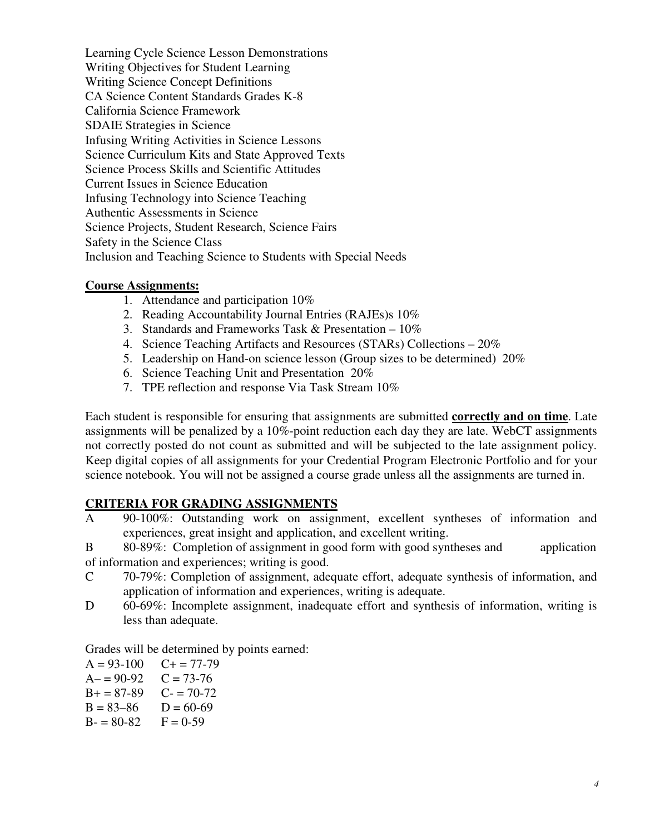Learning Cycle Science Lesson Demonstrations Writing Objectives for Student Learning Writing Science Concept Definitions CA Science Content Standards Grades K-8 California Science Framework SDAIE Strategies in Science Infusing Writing Activities in Science Lessons Science Curriculum Kits and State Approved Texts Science Process Skills and Scientific Attitudes Current Issues in Science Education Infusing Technology into Science Teaching Authentic Assessments in Science Science Projects, Student Research, Science Fairs Safety in the Science Class Inclusion and Teaching Science to Students with Special Needs

#### **Course Assignments:**

- 1. Attendance and participation 10%
- 2. Reading Accountability Journal Entries (RAJEs)s 10%
- 3. Standards and Frameworks Task & Presentation 10%
- 4. Science Teaching Artifacts and Resources (STARs) Collections 20%
- 5. Leadership on Hand-on science lesson (Group sizes to be determined) 20%
- 6. Science Teaching Unit and Presentation 20%
- 7. TPE reflection and response Via Task Stream 10%

Each student is responsible for ensuring that assignments are submitted **correctly and on time**. Late assignments will be penalized by a 10%-point reduction each day they are late. WebCT assignments not correctly posted do not count as submitted and will be subjected to the late assignment policy. Keep digital copies of all assignments for your Credential Program Electronic Portfolio and for your science notebook. You will not be assigned a course grade unless all the assignments are turned in.

## **CRITERIA FOR GRADING ASSIGNMENTS**

A 90-100%: Outstanding work on assignment, excellent syntheses of information and experiences, great insight and application, and excellent writing.

B 80-89%: Completion of assignment in good form with good syntheses and application of information and experiences; writing is good.

- C 70-79%: Completion of assignment, adequate effort, adequate synthesis of information, and application of information and experiences, writing is adequate.
- D 60-69%: Incomplete assignment, inadequate effort and synthesis of information, writing is less than adequate.

Grades will be determined by points earned:

 $A = 93-100$   $C + 77-79$  $A = 90-92$   $C = 73-76$  $B+=87-89$  C- = 70-72  $B = 83-86$   $D = 60-69$  $B = 80-82$   $F = 0-59$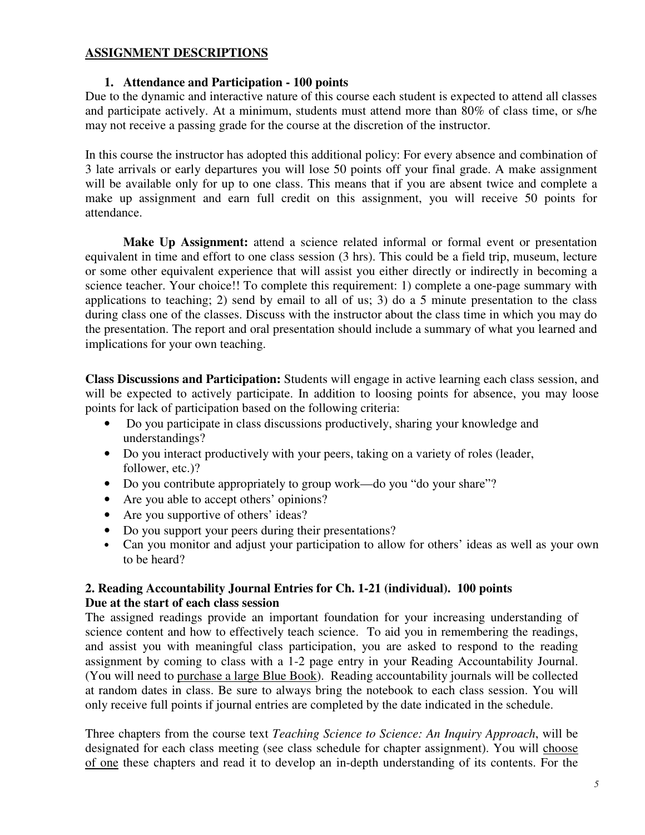### **ASSIGNMENT DESCRIPTIONS**

### **1. Attendance and Participation - 100 points**

Due to the dynamic and interactive nature of this course each student is expected to attend all classes and participate actively. At a minimum, students must attend more than 80% of class time, or s/he may not receive a passing grade for the course at the discretion of the instructor.

In this course the instructor has adopted this additional policy: For every absence and combination of 3 late arrivals or early departures you will lose 50 points off your final grade. A make assignment will be available only for up to one class. This means that if you are absent twice and complete a make up assignment and earn full credit on this assignment, you will receive 50 points for attendance.

**Make Up Assignment:** attend a science related informal or formal event or presentation equivalent in time and effort to one class session (3 hrs). This could be a field trip, museum, lecture or some other equivalent experience that will assist you either directly or indirectly in becoming a science teacher. Your choice!! To complete this requirement: 1) complete a one-page summary with applications to teaching; 2) send by email to all of us; 3) do a 5 minute presentation to the class during class one of the classes. Discuss with the instructor about the class time in which you may do the presentation. The report and oral presentation should include a summary of what you learned and implications for your own teaching.

**Class Discussions and Participation:** Students will engage in active learning each class session, and will be expected to actively participate. In addition to loosing points for absence, you may loose points for lack of participation based on the following criteria:

- Do you participate in class discussions productively, sharing your knowledge and understandings?
- Do you interact productively with your peers, taking on a variety of roles (leader, follower, etc.)?
- Do you contribute appropriately to group work—do you "do your share"?
- Are you able to accept others' opinions?
- Are you supportive of others' ideas?
- Do you support your peers during their presentations?
- Can you monitor and adjust your participation to allow for others' ideas as well as your own to be heard?

## **2. Reading Accountability Journal Entries for Ch. 1-21 (individual). 100 points Due at the start of each class session**

The assigned readings provide an important foundation for your increasing understanding of science content and how to effectively teach science. To aid you in remembering the readings, and assist you with meaningful class participation, you are asked to respond to the reading assignment by coming to class with a 1-2 page entry in your Reading Accountability Journal. (You will need to purchase a large Blue Book). Reading accountability journals will be collected at random dates in class. Be sure to always bring the notebook to each class session. You will only receive full points if journal entries are completed by the date indicated in the schedule.

Three chapters from the course text *Teaching Science to Science: An Inquiry Approach*, will be designated for each class meeting (see class schedule for chapter assignment). You will choose of one these chapters and read it to develop an in-depth understanding of its contents. For the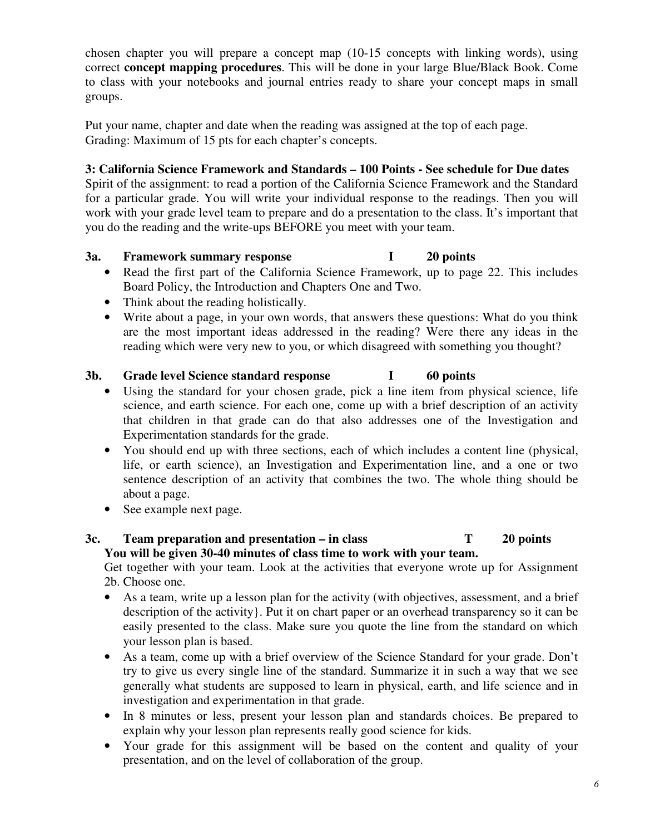chosen chapter you will prepare a concept map (10-15 concepts with linking words), using correct **concept mapping procedures**. This will be done in your large Blue/Black Book. Come to class with your notebooks and journal entries ready to share your concept maps in small groups.

Put your name, chapter and date when the reading was assigned at the top of each page. Grading: Maximum of 15 pts for each chapter's concepts.

## **3: California Science Framework and Standards – 100 Points - See schedule for Due dates**

Spirit of the assignment: to read a portion of the California Science Framework and the Standard for a particular grade. You will write your individual response to the readings. Then you will work with your grade level team to prepare and do a presentation to the class. It's important that you do the reading and the write-ups BEFORE you meet with your team.

### **3a. Framework summary response I 20 points**

- Read the first part of the California Science Framework, up to page 22. This includes Board Policy, the Introduction and Chapters One and Two.
- Think about the reading holistically.
- Write about a page, in your own words, that answers these questions: What do you think are the most important ideas addressed in the reading? Were there any ideas in the reading which were very new to you, or which disagreed with something you thought?

## **3b. Grade level Science standard response I 60 points**

- Using the standard for your chosen grade, pick a line item from physical science, life science, and earth science. For each one, come up with a brief description of an activity that children in that grade can do that also addresses one of the Investigation and Experimentation standards for the grade.
- You should end up with three sections, each of which includes a content line (physical, life, or earth science), an Investigation and Experimentation line, and a one or two sentence description of an activity that combines the two. The whole thing should be about a page.
- See example next page.

# **3c. Team preparation and presentation – in class T 20 points You will be given 30-40 minutes of class time to work with your team.**

Get together with your team. Look at the activities that everyone wrote up for Assignment 2b. Choose one.

- As a team, write up a lesson plan for the activity (with objectives, assessment, and a brief description of the activity}. Put it on chart paper or an overhead transparency so it can be easily presented to the class. Make sure you quote the line from the standard on which your lesson plan is based.
- As a team, come up with a brief overview of the Science Standard for your grade. Don't try to give us every single line of the standard. Summarize it in such a way that we see generally what students are supposed to learn in physical, earth, and life science and in investigation and experimentation in that grade.
- In 8 minutes or less, present your lesson plan and standards choices. Be prepared to explain why your lesson plan represents really good science for kids.
- Your grade for this assignment will be based on the content and quality of your presentation, and on the level of collaboration of the group.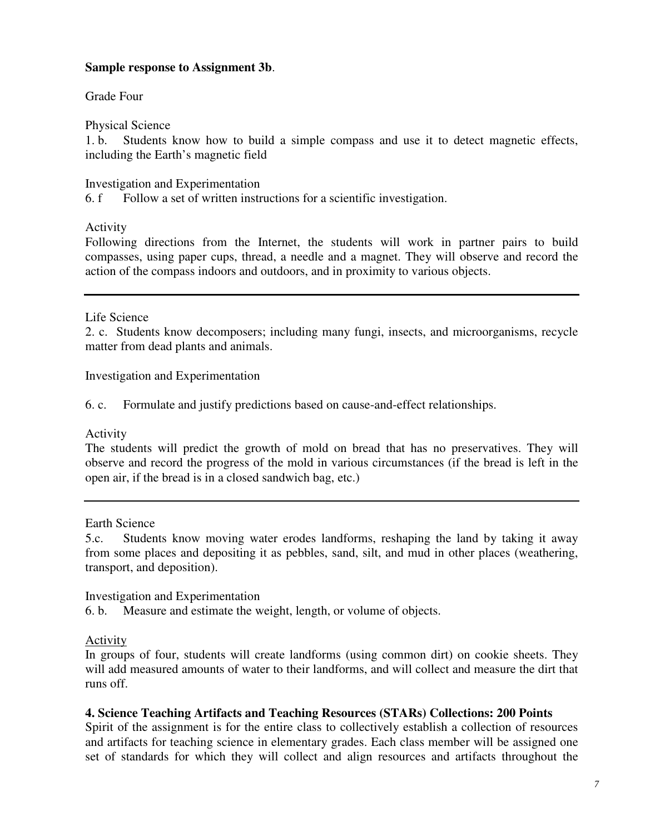### **Sample response to Assignment 3b**.

Grade Four

Physical Science

1. b. Students know how to build a simple compass and use it to detect magnetic effects, including the Earth's magnetic field

Investigation and Experimentation

6. f Follow a set of written instructions for a scientific investigation.

Activity

Following directions from the Internet, the students will work in partner pairs to build compasses, using paper cups, thread, a needle and a magnet. They will observe and record the action of the compass indoors and outdoors, and in proximity to various objects.

Life Science

2. c. Students know decomposers; including many fungi, insects, and microorganisms, recycle matter from dead plants and animals.

Investigation and Experimentation

6. c. Formulate and justify predictions based on cause-and-effect relationships.

Activity

The students will predict the growth of mold on bread that has no preservatives. They will observe and record the progress of the mold in various circumstances (if the bread is left in the open air, if the bread is in a closed sandwich bag, etc.)

Earth Science

5.c. Students know moving water erodes landforms, reshaping the land by taking it away from some places and depositing it as pebbles, sand, silt, and mud in other places (weathering, transport, and deposition).

Investigation and Experimentation

6. b. Measure and estimate the weight, length, or volume of objects.

Activity

In groups of four, students will create landforms (using common dirt) on cookie sheets. They will add measured amounts of water to their landforms, and will collect and measure the dirt that runs off.

## **4. Science Teaching Artifacts and Teaching Resources (STARs) Collections: 200 Points**

Spirit of the assignment is for the entire class to collectively establish a collection of resources and artifacts for teaching science in elementary grades. Each class member will be assigned one set of standards for which they will collect and align resources and artifacts throughout the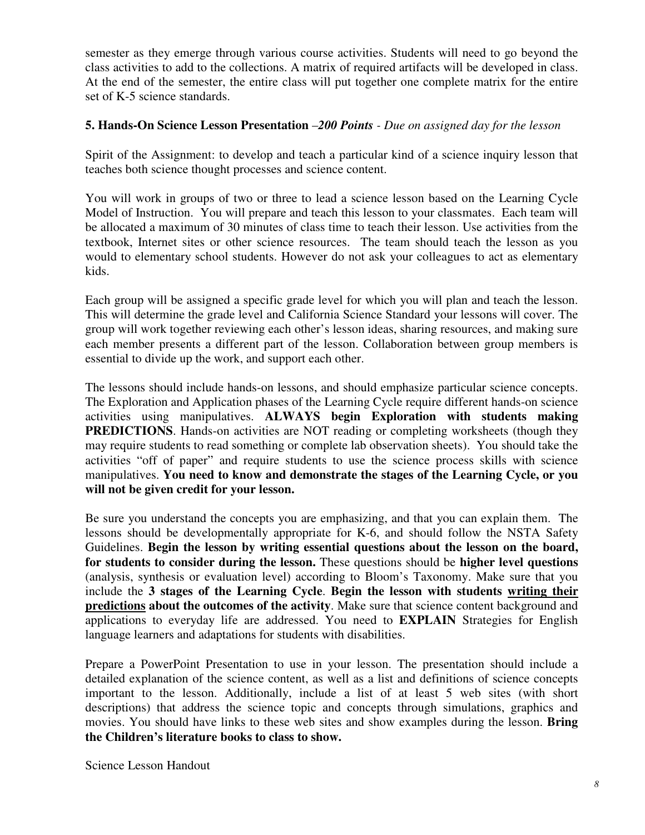semester as they emerge through various course activities. Students will need to go beyond the class activities to add to the collections. A matrix of required artifacts will be developed in class. At the end of the semester, the entire class will put together one complete matrix for the entire set of K-5 science standards.

### **5. Hands-On Science Lesson Presentation** –*200 Points - Due on assigned day for the lesson*

Spirit of the Assignment: to develop and teach a particular kind of a science inquiry lesson that teaches both science thought processes and science content.

You will work in groups of two or three to lead a science lesson based on the Learning Cycle Model of Instruction. You will prepare and teach this lesson to your classmates. Each team will be allocated a maximum of 30 minutes of class time to teach their lesson. Use activities from the textbook, Internet sites or other science resources. The team should teach the lesson as you would to elementary school students. However do not ask your colleagues to act as elementary kids.

Each group will be assigned a specific grade level for which you will plan and teach the lesson. This will determine the grade level and California Science Standard your lessons will cover. The group will work together reviewing each other's lesson ideas, sharing resources, and making sure each member presents a different part of the lesson. Collaboration between group members is essential to divide up the work, and support each other.

The lessons should include hands-on lessons, and should emphasize particular science concepts. The Exploration and Application phases of the Learning Cycle require different hands-on science activities using manipulatives. **ALWAYS begin Exploration with students making PREDICTIONS**. Hands-on activities are NOT reading or completing worksheets (though they may require students to read something or complete lab observation sheets). You should take the activities "off of paper" and require students to use the science process skills with science manipulatives. **You need to know and demonstrate the stages of the Learning Cycle, or you will not be given credit for your lesson.**

Be sure you understand the concepts you are emphasizing, and that you can explain them. The lessons should be developmentally appropriate for K-6, and should follow the NSTA Safety Guidelines. **Begin the lesson by writing essential questions about the lesson on the board, for students to consider during the lesson.** These questions should be **higher level questions** (analysis, synthesis or evaluation level) according to Bloom's Taxonomy. Make sure that you include the **3 stages of the Learning Cycle**. **Begin the lesson with students writing their predictions about the outcomes of the activity**. Make sure that science content background and applications to everyday life are addressed. You need to **EXPLAIN** Strategies for English language learners and adaptations for students with disabilities.

Prepare a PowerPoint Presentation to use in your lesson. The presentation should include a detailed explanation of the science content, as well as a list and definitions of science concepts important to the lesson. Additionally, include a list of at least 5 web sites (with short descriptions) that address the science topic and concepts through simulations, graphics and movies. You should have links to these web sites and show examples during the lesson. **Bring the Children's literature books to class to show.**

Science Lesson Handout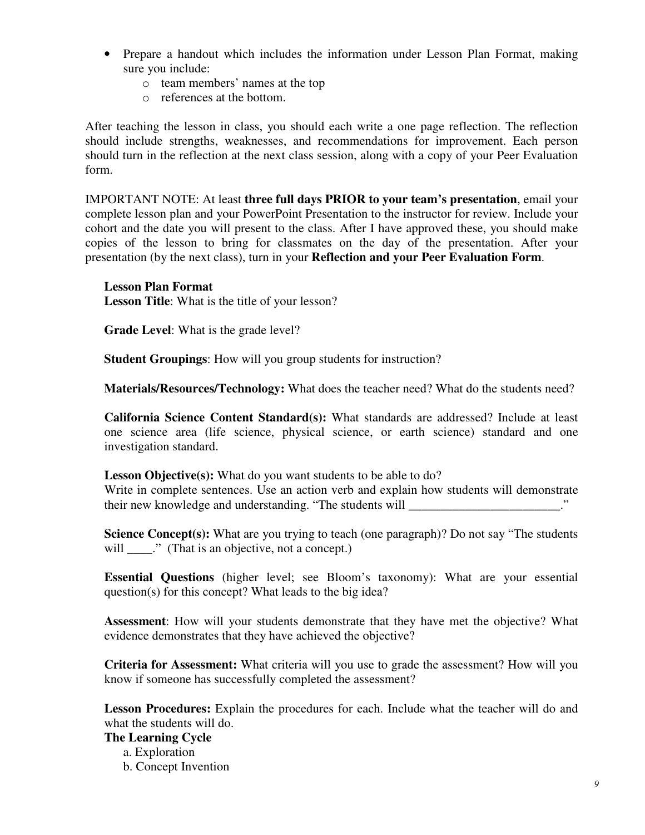- Prepare a handout which includes the information under Lesson Plan Format, making sure you include:
	- o team members' names at the top
	- o references at the bottom.

After teaching the lesson in class, you should each write a one page reflection. The reflection should include strengths, weaknesses, and recommendations for improvement. Each person should turn in the reflection at the next class session, along with a copy of your Peer Evaluation form.

IMPORTANT NOTE: At least **three full days PRIOR to your team's presentation**, email your complete lesson plan and your PowerPoint Presentation to the instructor for review. Include your cohort and the date you will present to the class. After I have approved these, you should make copies of the lesson to bring for classmates on the day of the presentation. After your presentation (by the next class), turn in your **Reflection and your Peer Evaluation Form**.

#### **Lesson Plan Format**

**Lesson Title**: What is the title of your lesson?

**Grade Level**: What is the grade level?

**Student Groupings**: How will you group students for instruction?

**Materials/Resources/Technology:** What does the teacher need? What do the students need?

**California Science Content Standard(s):** What standards are addressed? Include at least one science area (life science, physical science, or earth science) standard and one investigation standard.

**Lesson Objective(s):** What do you want students to be able to do? Write in complete sentences. Use an action verb and explain how students will demonstrate their new knowledge and understanding. "The students will \_\_\_\_\_\_\_\_\_\_\_\_\_\_\_\_\_\_\_\_\_\_\_."

**Science Concept(s):** What are you trying to teach (one paragraph)? Do not say "The students will \_\_\_\_." (That is an objective, not a concept.)

**Essential Questions** (higher level; see Bloom's taxonomy): What are your essential question(s) for this concept? What leads to the big idea?

**Assessment**: How will your students demonstrate that they have met the objective? What evidence demonstrates that they have achieved the objective?

**Criteria for Assessment:** What criteria will you use to grade the assessment? How will you know if someone has successfully completed the assessment?

**Lesson Procedures:** Explain the procedures for each. Include what the teacher will do and what the students will do.

#### **The Learning Cycle**

a. Exploration

b. Concept Invention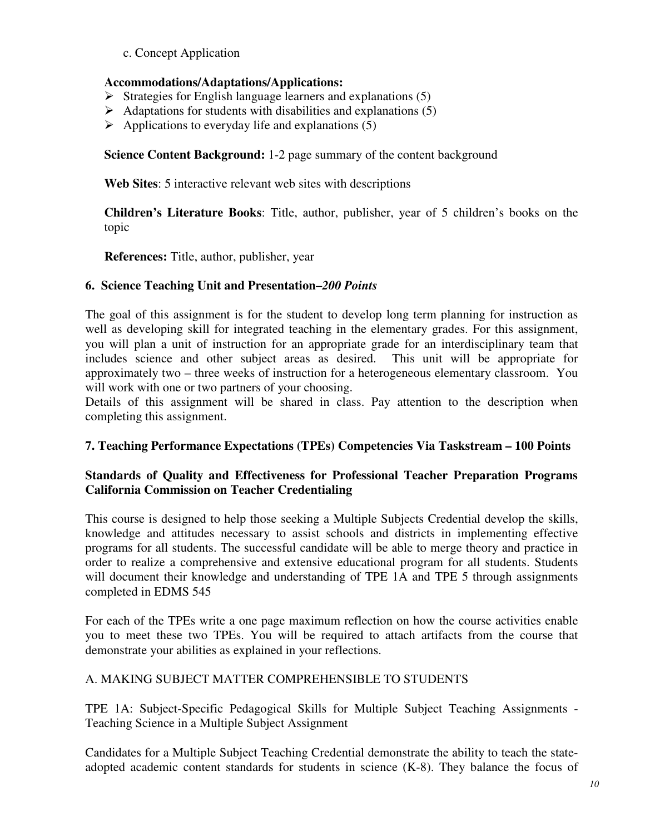c. Concept Application

# **Accommodations/Adaptations/Applications:**

- $\triangleright$  Strategies for English language learners and explanations (5)
- $\triangleright$  Adaptations for students with disabilities and explanations (5)
- $\triangleright$  Applications to everyday life and explanations (5)

**Science Content Background:** 1-2 page summary of the content background

**Web Sites**: 5 interactive relevant web sites with descriptions

**Children's Literature Books**: Title, author, publisher, year of 5 children's books on the topic

**References:** Title, author, publisher, year

### **6. Science Teaching Unit and Presentation–***200 Points*

The goal of this assignment is for the student to develop long term planning for instruction as well as developing skill for integrated teaching in the elementary grades. For this assignment, you will plan a unit of instruction for an appropriate grade for an interdisciplinary team that includes science and other subject areas as desired. This unit will be appropriate for approximately two – three weeks of instruction for a heterogeneous elementary classroom. You will work with one or two partners of your choosing.

Details of this assignment will be shared in class. Pay attention to the description when completing this assignment.

## **7. Teaching Performance Expectations (TPEs) Competencies Via Taskstream – 100 Points**

## **Standards of Quality and Effectiveness for Professional Teacher Preparation Programs California Commission on Teacher Credentialing**

This course is designed to help those seeking a Multiple Subjects Credential develop the skills, knowledge and attitudes necessary to assist schools and districts in implementing effective programs for all students. The successful candidate will be able to merge theory and practice in order to realize a comprehensive and extensive educational program for all students. Students will document their knowledge and understanding of TPE 1A and TPE 5 through assignments completed in EDMS 545

For each of the TPEs write a one page maximum reflection on how the course activities enable you to meet these two TPEs. You will be required to attach artifacts from the course that demonstrate your abilities as explained in your reflections.

## A. MAKING SUBJECT MATTER COMPREHENSIBLE TO STUDENTS

TPE 1A: Subject-Specific Pedagogical Skills for Multiple Subject Teaching Assignments - Teaching Science in a Multiple Subject Assignment

Candidates for a Multiple Subject Teaching Credential demonstrate the ability to teach the stateadopted academic content standards for students in science (K-8). They balance the focus of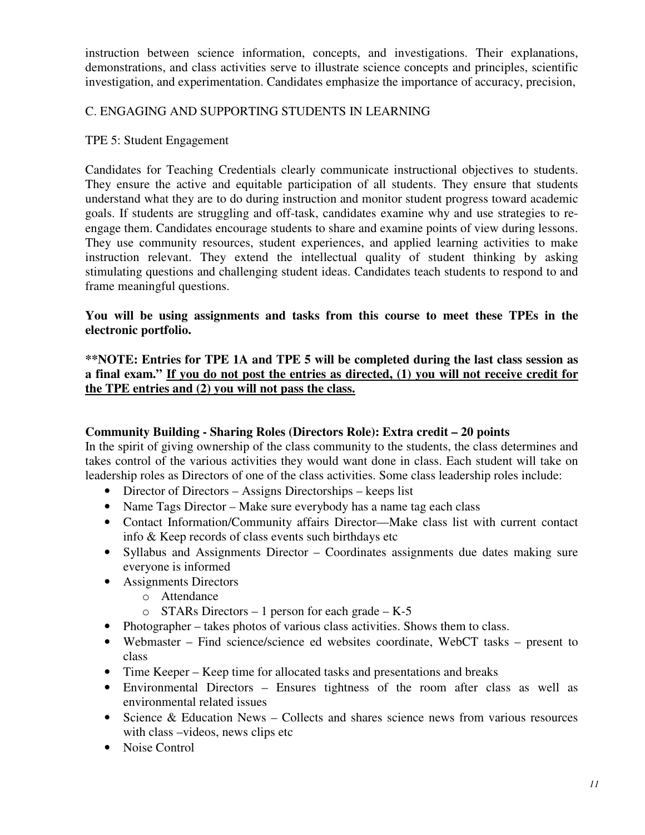instruction between science information, concepts, and investigations. Their explanations, demonstrations, and class activities serve to illustrate science concepts and principles, scientific investigation, and experimentation. Candidates emphasize the importance of accuracy, precision,

# C. ENGAGING AND SUPPORTING STUDENTS IN LEARNING

### TPE 5: Student Engagement

Candidates for Teaching Credentials clearly communicate instructional objectives to students. They ensure the active and equitable participation of all students. They ensure that students understand what they are to do during instruction and monitor student progress toward academic goals. If students are struggling and off-task, candidates examine why and use strategies to reengage them. Candidates encourage students to share and examine points of view during lessons. They use community resources, student experiences, and applied learning activities to make instruction relevant. They extend the intellectual quality of student thinking by asking stimulating questions and challenging student ideas. Candidates teach students to respond to and frame meaningful questions.

### **You will be using assignments and tasks from this course to meet these TPEs in the electronic portfolio.**

### **\*\*NOTE: Entries for TPE 1A and TPE 5 will be completed during the last class session as a final exam." If you do not post the entries as directed, (1) you will not receive credit for the TPE entries and (2) you will not pass the class.**

## **Community Building - Sharing Roles (Directors Role): Extra credit – 20 points**

In the spirit of giving ownership of the class community to the students, the class determines and takes control of the various activities they would want done in class. Each student will take on leadership roles as Directors of one of the class activities. Some class leadership roles include:

- Director of Directors Assigns Directorships keeps list
- Name Tags Director Make sure everybody has a name tag each class
- Contact Information/Community affairs Director—Make class list with current contact info & Keep records of class events such birthdays etc
- Syllabus and Assignments Director Coordinates assignments due dates making sure everyone is informed
- Assignments Directors
	- o Attendance
	- o STARs Directors 1 person for each grade K-5
- Photographer takes photos of various class activities. Shows them to class.
- Webmaster Find science/science ed websites coordinate, WebCT tasks present to class
- Time Keeper Keep time for allocated tasks and presentations and breaks
- Environmental Directors Ensures tightness of the room after class as well as environmental related issues
- Science & Education News Collects and shares science news from various resources with class –videos, news clips etc
- Noise Control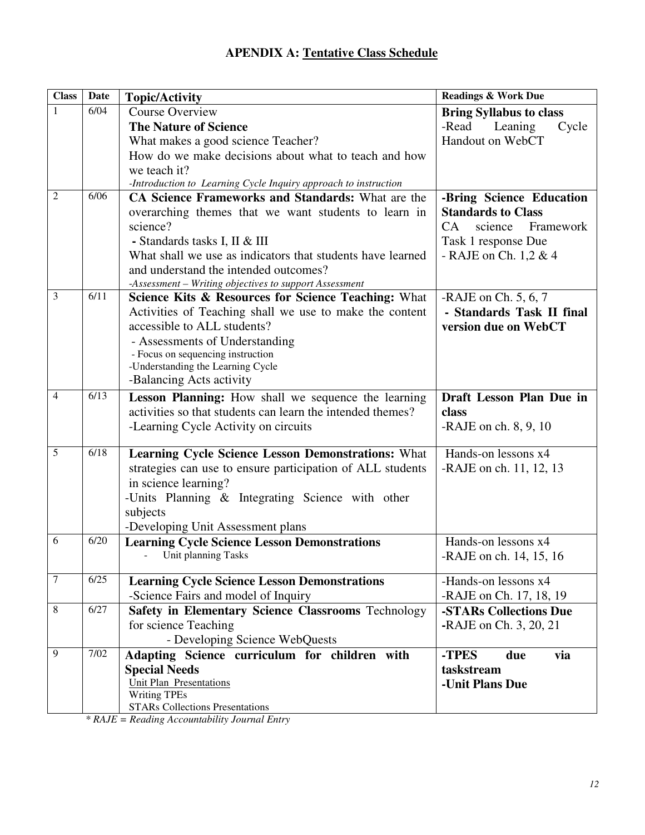| <b>Class</b>   | <b>Date</b> | <b>Topic/Activity</b>                                                                                                   | <b>Readings &amp; Work Due</b> |
|----------------|-------------|-------------------------------------------------------------------------------------------------------------------------|--------------------------------|
| $\mathbf{1}$   | 6/04        | <b>Course Overview</b>                                                                                                  | <b>Bring Syllabus to class</b> |
|                |             | <b>The Nature of Science</b>                                                                                            | Cycle<br>-Read<br>Leaning      |
|                |             | What makes a good science Teacher?                                                                                      | Handout on WebCT               |
|                |             | How do we make decisions about what to teach and how                                                                    |                                |
|                |             | we teach it?                                                                                                            |                                |
|                |             | -Introduction to Learning Cycle Inquiry approach to instruction                                                         |                                |
| $\overline{2}$ | 6/06        | <b>CA Science Frameworks and Standards:</b> What are the                                                                | -Bring Science Education       |
|                |             | overarching themes that we want students to learn in                                                                    | <b>Standards to Class</b>      |
|                |             | science?                                                                                                                | CA<br>science<br>Framework     |
|                |             | - Standards tasks I, II & III                                                                                           | Task 1 response Due            |
|                |             | What shall we use as indicators that students have learned                                                              | - RAJE on Ch. $1,2 \& 4$       |
|                |             | and understand the intended outcomes?                                                                                   |                                |
|                |             | -Assessment - Writing objectives to support Assessment                                                                  |                                |
| 3              | 6/11        | Science Kits & Resources for Science Teaching: What                                                                     | -RAJE on Ch. $5, 6, 7$         |
|                |             | Activities of Teaching shall we use to make the content                                                                 | - Standards Task II final      |
|                |             | accessible to ALL students?                                                                                             | version due on WebCT           |
|                |             | - Assessments of Understanding                                                                                          |                                |
|                |             | - Focus on sequencing instruction                                                                                       |                                |
|                |             | -Understanding the Learning Cycle                                                                                       |                                |
|                |             | -Balancing Acts activity                                                                                                |                                |
| $\overline{4}$ | 6/13        | Lesson Planning: How shall we sequence the learning                                                                     | Draft Lesson Plan Due in       |
|                |             | activities so that students can learn the intended themes?                                                              | class                          |
|                |             | -Learning Cycle Activity on circuits                                                                                    | -RAJE on ch. $8, 9, 10$        |
| 5              | 6/18        |                                                                                                                         | Hands-on lessons x4            |
|                |             | <b>Learning Cycle Science Lesson Demonstrations: What</b><br>strategies can use to ensure participation of ALL students | -RAJE on ch. 11, 12, 13        |
|                |             | in science learning?                                                                                                    |                                |
|                |             | -Units Planning & Integrating Science with other                                                                        |                                |
|                |             | subjects                                                                                                                |                                |
|                |             | -Developing Unit Assessment plans                                                                                       |                                |
| 6              | 6/20        | <b>Learning Cycle Science Lesson Demonstrations</b>                                                                     | Hands-on lessons x4            |
|                |             | Unit planning Tasks                                                                                                     | -RAJE on ch. 14, 15, 16        |
|                |             |                                                                                                                         |                                |
| 7              | 6/25        | <b>Learning Cycle Science Lesson Demonstrations</b>                                                                     | -Hands-on lessons x4           |
|                |             | -Science Fairs and model of Inquiry                                                                                     | -RAJE on Ch. 17, 18, 19        |
| 8              | 6/27        | Safety in Elementary Science Classrooms Technology                                                                      | -STARs Collections Due         |
|                |             | for science Teaching                                                                                                    | -RAJE on Ch. 3, 20, 21         |
|                |             | - Developing Science WebQuests                                                                                          |                                |
| 9              | 7/02        | Adapting Science curriculum for children with                                                                           | -TPES<br>due<br>via            |
|                |             | <b>Special Needs</b>                                                                                                    | taskstream                     |
|                |             | <b>Unit Plan Presentations</b>                                                                                          | -Unit Plans Due                |
|                |             | <b>Writing TPEs</b>                                                                                                     |                                |
|                |             | <b>STARs Collections Presentations</b>                                                                                  |                                |

*\* RAJE = Reading Accountability Journal Entry*